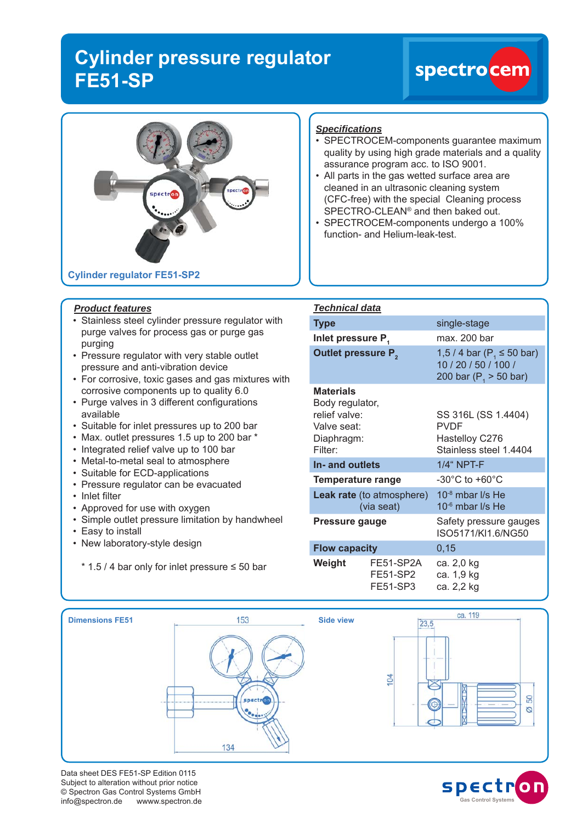## **Cylinder pressure regulator FE51-SP**

# spectrocen



#### *Product features*

- Stainless steel cylinder pressure regulator with purge valves for process gas or purge gas purging
- Pressure regulator with very stable outlet pressure and anti-vibration device
- For corrosive, toxic gases and gas mixtures with corrosive components up to quality 6.0
- Purge valves in 3 different configurations available
- Suitable for inlet pressures up to 200 bar
- Max. outlet pressures 1.5 up to 200 bar \*
- Integrated relief valve up to 100 bar
- Metal-to-metal seal to atmosphere
- Suitable for ECD-applications
- Pressure regulator can be evacuated
- Inlet filter
- Approved for use with oxygen
- Simple outlet pressure limitation by handwheel
- Easy to install
- New laboratory-style design
	- \* 1.5 / 4 bar only for inlet pressure ≤ 50 bar

### *Specifi cations*

- SPECTROCEM-components guarantee maximum quality by using high grade materials and a quality assurance program acc. to ISO 9001.
- All parts in the gas wetted surface area are cleaned in an ultrasonic cleaning system (CFC-free) with the special Cleaning process SPECTRO-CLEAN® and then baked out.
- SPECTROCEM-components undergo a 100% function- and Helium-leak-test.

| <b>Technical data</b>                                                                        |                                   |                                                                                     |
|----------------------------------------------------------------------------------------------|-----------------------------------|-------------------------------------------------------------------------------------|
| <b>Type</b>                                                                                  |                                   | single-stage                                                                        |
| Inlet pressure P.                                                                            |                                   | max. 200 bar                                                                        |
| <b>Outlet pressure P</b> <sub>2</sub>                                                        |                                   | 1,5 / 4 bar ( $P_1 \le 50$ bar)<br>10 / 20 / 50 / 100 /<br>200 bar ( $P1$ > 50 bar) |
| <b>Materials</b><br>Body regulator,<br>relief valve:<br>Valve seat:<br>Diaphragm:<br>Filter: |                                   | SS 316L (SS 1.4404)<br><b>PVDF</b><br>Hastelloy C276<br>Stainless steel 1.4404      |
| In- and outlets                                                                              |                                   | 1/4" NPT-F                                                                          |
| <b>Temperature range</b>                                                                     |                                   | $-30^{\circ}$ C to $+60^{\circ}$ C                                                  |
| <b>Leak rate</b> (to atmosphere)<br>(via seat)                                               |                                   | 10 $-8$ mbar I/s He<br>10 <sup>-6</sup> mbar I/s He                                 |
| <b>Pressure gauge</b>                                                                        |                                   | Safety pressure gauges<br>ISO5171/KI1.6/NG50                                        |
| <b>Flow capacity</b>                                                                         |                                   | 0, 15                                                                               |
| Weight                                                                                       | FE51-SP2A<br>FE51-SP2<br>FE51-SP3 | ca. 2,0 kg<br>ca. 1,9 kg<br>ca. 2,2 kg                                              |



Data sheet DES FE51-SP Edition 0115 Subject to alteration without prior notice © Spectron Gas Control Systems GmbH info@spectron.de wwww.spectron.de